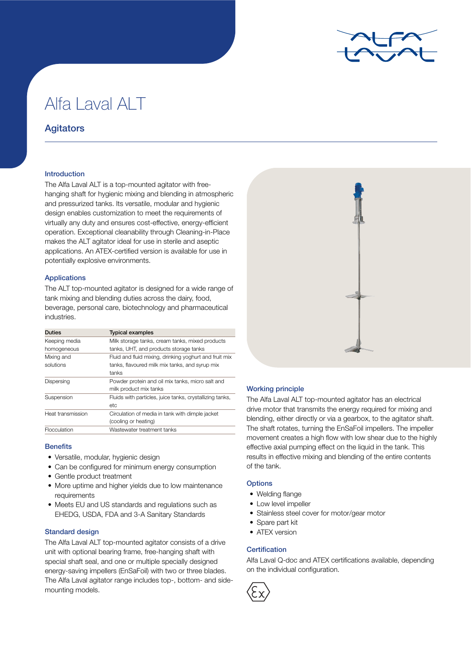

# Alfa Laval ALT

## **Agitators**

## Introduction

The Alfa Laval ALT is a top-mounted agitator with freehanging shaft for hygienic mixing and blending in atmospheric and pressurized tanks. Its versatile, modular and hygienic design enables customization to meet the requirements of virtually any duty and ensures cost-effective, energy-efficient operation. Exceptional cleanability through Cleaning-in-Place makes the ALT agitator ideal for use in sterile and aseptic applications. An ATEX-certified version is available for use in potentially explosive environments.

## Applications

The ALT top-mounted agitator is designed for a wide range of tank mixing and blending duties across the dairy, food, beverage, personal care, biotechnology and pharmaceutical industries.

| <b>Duties</b>     | <b>Typical examples</b>                                  |
|-------------------|----------------------------------------------------------|
| Keeping media     | Milk storage tanks, cream tanks, mixed products          |
| homogeneous       | tanks, UHT, and products storage tanks                   |
| Mixing and        | Fluid and fluid mixing, drinking yoghurt and fruit mix   |
| solutions         | tanks, flavoured milk mix tanks, and syrup mix           |
|                   | tanks                                                    |
| Dispersing        | Powder protein and oil mix tanks, micro salt and         |
|                   | milk product mix tanks                                   |
| Suspension        | Fluids with particles, juice tanks, crystallizing tanks, |
|                   | etc                                                      |
| Heat transmission | Circulation of media in tank with dimple jacket          |
|                   | (cooling or heating)                                     |
| Flocculation      | Wastewater treatment tanks                               |

## **Benefits**

- Versatile, modular, hygienic design
- Can be configured for minimum energy consumption
- Gentle product treatment
- More uptime and higher yields due to low maintenance requirements
- Meets EU and US standards and regulations such as EHEDG, USDA, FDA and 3-A Sanitary Standards

## Standard design

The Alfa Laval ALT top-mounted agitator consists of a drive unit with optional bearing frame, free-hanging shaft with special shaft seal, and one or multiple specially designed energy-saving impellers (EnSaFoil) with two or three blades. The Alfa Laval agitator range includes top-, bottom- and sidemounting models.



## Working principle

The Alfa Laval ALT top-mounted agitator has an electrical drive motor that transmits the energy required for mixing and blending, either directly or via a gearbox, to the agitator shaft. The shaft rotates, turning the EnSaFoil impellers. The impeller movement creates a high flow with low shear due to the highly effective axial pumping effect on the liquid in the tank. This results in effective mixing and blending of the entire contents of the tank.

## **Options**

- Welding flange
- Low level impeller
- Stainless steel cover for motor/gear motor
- Spare part kit
- ATEX version

## **Certification**

Alfa Laval Q-doc and ATEX certifications available, depending on the individual configuration.

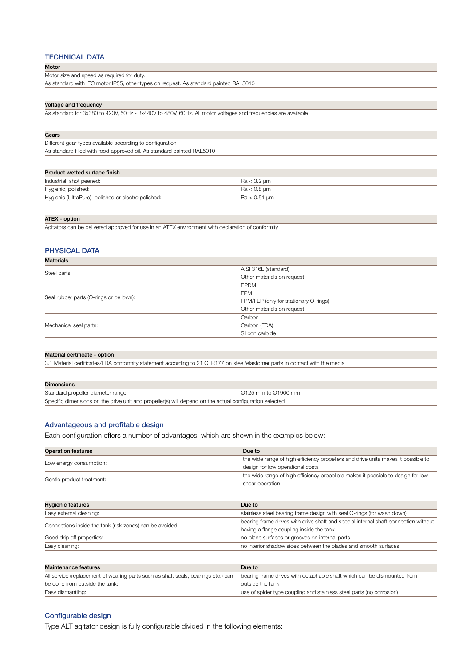## TECHNICAL DATA

#### Motor

Motor size and speed as required for duty.

As standard with IEC motor IP55, other types on request. As standard painted RAL5010

#### Voltage and frequency

As standard for 3x380 to 420V, 50Hz - 3x440V to 480V, 60Hz. All motor voltages and frequencies are available

| As standard filled with food approved oil. As standard painted RAL5010 |  |  |  |
|------------------------------------------------------------------------|--|--|--|
|                                                                        |  |  |  |
|                                                                        |  |  |  |
| $Ra < 3.2 \mu m$                                                       |  |  |  |
| $Ra < 0.8 \mu m$                                                       |  |  |  |
| $Ra < 0.51 \mu m$                                                      |  |  |  |
|                                                                        |  |  |  |

#### ATEX - option

Materials

Agitators can be delivered approved for use in an ATEX environment with declaration of conformity

## PHYSICAL DATA

| Maleriais                               |                                       |  |
|-----------------------------------------|---------------------------------------|--|
| Steel parts:                            | AISI 316L (standard)                  |  |
|                                         | Other materials on request            |  |
| Seal rubber parts (O-rings or bellows): | <b>EPDM</b>                           |  |
|                                         | <b>FPM</b>                            |  |
|                                         | FPM/FEP (only for stationary O-rings) |  |
|                                         | Other materials on request.           |  |
| Mechanical seal parts:                  | Carbon                                |  |
|                                         | Carbon (FDA)                          |  |
|                                         | Silicon carbide                       |  |
|                                         |                                       |  |

#### Material certificate - option

3.1 Material certificates/FDA conformity statement according to 21 CFR177 on steel/elastomer parts in contact with the media

| <b>Dimensions</b>                                                                                       |                     |  |
|---------------------------------------------------------------------------------------------------------|---------------------|--|
| Standard propeller diameter range:                                                                      | Ø125 mm to Ø1900 mm |  |
| Specific dimensions on the drive unit and propeller(s) will depend on the actual configuration selected |                     |  |

## Advantageous and profitable design

Each configuration offers a number of advantages, which are shown in the examples below:

| <b>Operation features</b>                                                         | Due to                                                                              |
|-----------------------------------------------------------------------------------|-------------------------------------------------------------------------------------|
| Low energy consumption:                                                           | the wide range of high efficiency propellers and drive units makes it possible to   |
|                                                                                   | design for low operational costs                                                    |
| Gentle product treatment:                                                         | the wide range of high efficiency propellers makes it possible to design for low    |
|                                                                                   | shear operation                                                                     |
|                                                                                   |                                                                                     |
| <b>Hygienic features</b>                                                          | Due to                                                                              |
| Easy external cleaning:                                                           | stainless steel bearing frame design with seal O-rings (for wash down)              |
| Connections inside the tank (risk zones) can be avoided:                          | bearing frame drives with drive shaft and special internal shaft connection without |
|                                                                                   | having a flange coupling inside the tank                                            |
| Good drip off properties:                                                         | no plane surfaces or grooves on internal parts                                      |
| Easy cleaning:                                                                    | no interior shadow sides between the blades and smooth surfaces                     |
|                                                                                   |                                                                                     |
| Maintenance features                                                              | Due to                                                                              |
| All service (replacement of wearing parts such as shaft seals, bearings etc.) can | bearing frame drives with detachable shaft which can be dismounted from             |
| be done from outside the tank:                                                    | outside the tank                                                                    |
| Easy dismantling:                                                                 | use of spider type coupling and stainless steel parts (no corrosion)                |

## Configurable design

Type ALT agitator design is fully configurable divided in the following elements: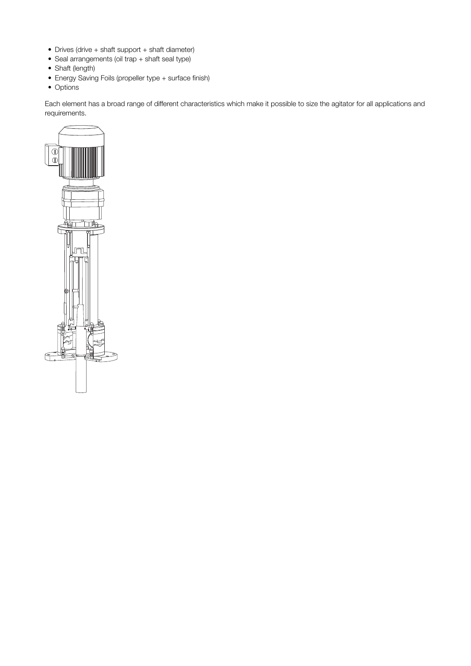- Drives (drive + shaft support + shaft diameter)
- Seal arrangements (oil trap + shaft seal type)
- Shaft (length)
- Energy Saving Foils (propeller type + surface finish)
- Options

Each element has a broad range of different characteristics which make it possible to size the agitator for all applications and requirements.

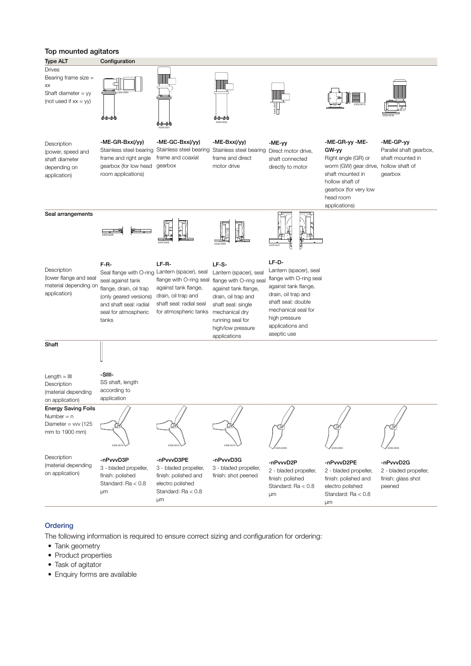## Top mounted agitators



## **Ordering**

The following information is required to ensure correct sizing and configuration for ordering:

- Tank geometry
- Product properties
- Task of agitator
- Enquiry forms are available